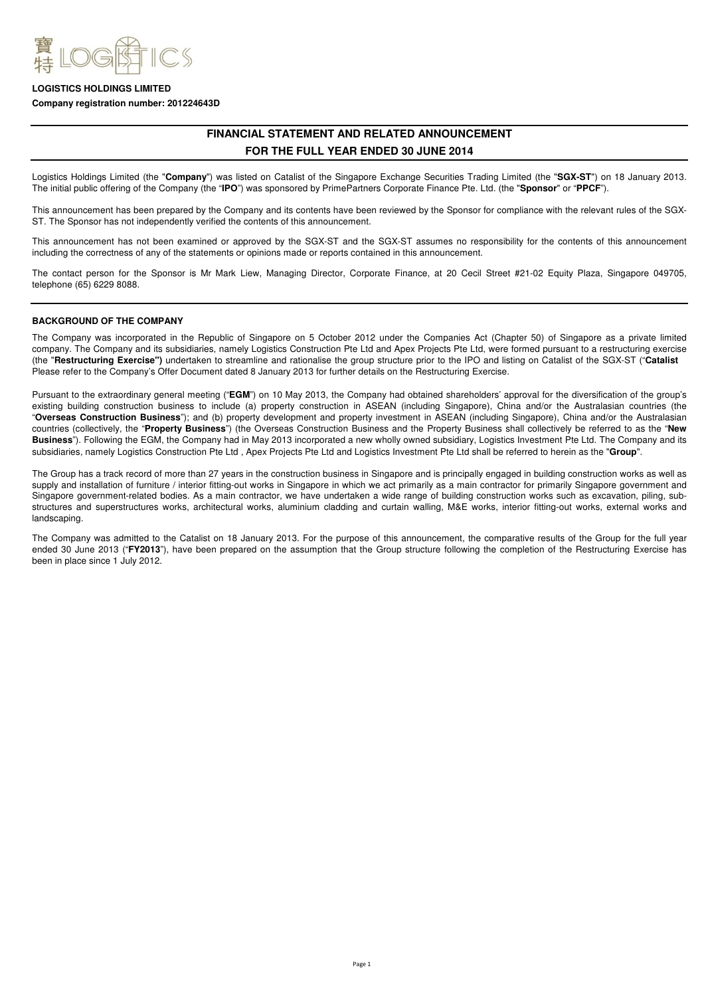

### **Company registration number: 201224643D**

# **FINANCIAL STATEMENT AND RELATED ANNOUNCEMENT FOR THE FULL YEAR ENDED 30 JUNE 2014**

Logistics Holdings Limited (the "**Company**") was listed on Catalist of the Singapore Exchange Securities Trading Limited (the "**SGX-ST**") on 18 January 2013. The initial public offering of the Company (the "**IPO**") was sponsored by PrimePartners Corporate Finance Pte. Ltd. (the "**Sponsor**" or "**PPCF**").

This announcement has been prepared by the Company and its contents have been reviewed by the Sponsor for compliance with the relevant rules of the SGX-ST. The Sponsor has not independently verified the contents of this announcement.

This announcement has not been examined or approved by the SGX-ST and the SGX-ST assumes no responsibility for the contents of this announcement including the correctness of any of the statements or opinions made or reports contained in this announcement.

The contact person for the Sponsor is Mr Mark Liew, Managing Director, Corporate Finance, at 20 Cecil Street #21-02 Equity Plaza, Singapore 049705, telephone (65) 6229 8088.

# **BACKGROUND OF THE COMPANY**

The Company was incorporated in the Republic of Singapore on 5 October 2012 under the Companies Act (Chapter 50) of Singapore as a private limited company. The Company and its subsidiaries, namely Logistics Construction Pte Ltd and Apex Projects Pte Ltd, were formed pursuant to a restructuring exercise (the "**Restructuring Exercise")** undertaken to streamline and rationalise the group structure prior to the IPO and listing on Catalist of the SGX-ST ("**Catalist** Please refer to the Company's Offer Document dated 8 January 2013 for further details on the Restructuring Exercise.

Pursuant to the extraordinary general meeting ("**EGM**") on 10 May 2013, the Company had obtained shareholders' approval for the diversification of the group's existing building construction business to include (a) property construction in ASEAN (including Singapore), China and/or the Australasian countries (the "**Overseas Construction Business**"); and (b) property development and property investment in ASEAN (including Singapore), China and/or the Australasian countries (collectively, the "**Property Business**") (the Overseas Construction Business and the Property Business shall collectively be referred to as the "**New Business**"). Following the EGM, the Company had in May 2013 incorporated a new wholly owned subsidiary, Logistics Investment Pte Ltd. The Company and its subsidiaries, namely Logistics Construction Pte Ltd , Apex Projects Pte Ltd and Logistics Investment Pte Ltd shall be referred to herein as the "**Group**".

The Group has a track record of more than 27 years in the construction business in Singapore and is principally engaged in building construction works as well as supply and installation of furniture / interior fitting-out works in Singapore in which we act primarily as a main contractor for primarily Singapore government and Singapore government-related bodies. As a main contractor, we have undertaken a wide range of building construction works such as excavation, piling, substructures and superstructures works, architectural works, aluminium cladding and curtain walling, M&E works, interior fitting-out works, external works and landscaping.

The Company was admitted to the Catalist on 18 January 2013. For the purpose of this announcement, the comparative results of the Group for the full year ended 30 June 2013 ("**FY2013**"), have been prepared on the assumption that the Group structure following the completion of the Restructuring Exercise has been in place since 1 July 2012.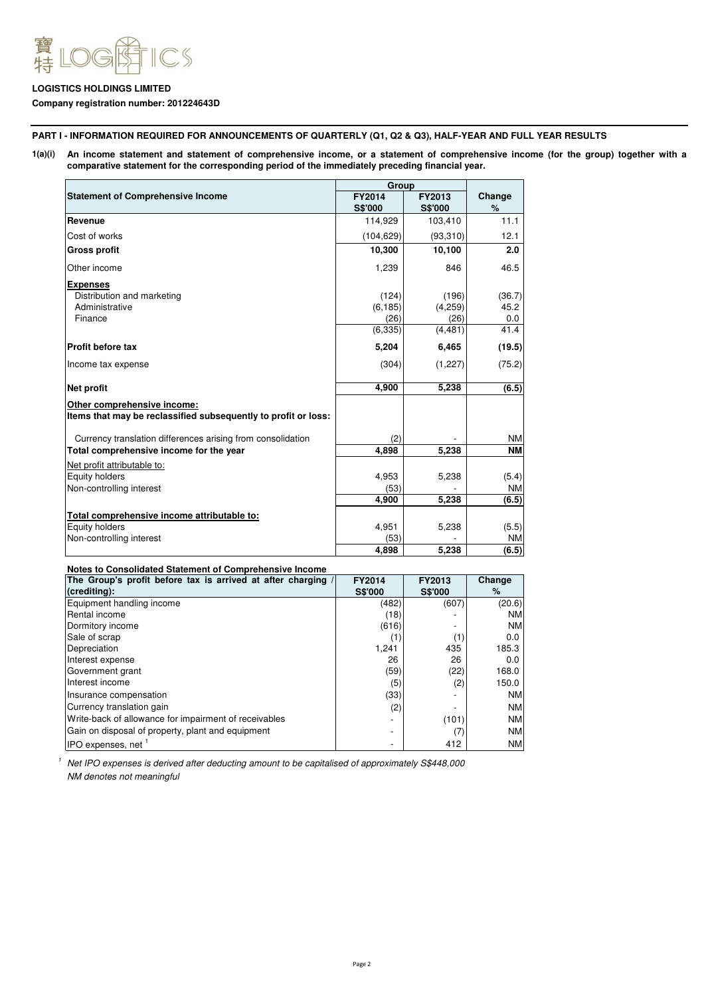

# **Company registration number: 201224643D**

**PART I - INFORMATION REQUIRED FOR ANNOUNCEMENTS OF QUARTERLY (Q1, Q2 & Q3), HALF-YEAR AND FULL YEAR RESULTS**

**1(a)(i) An income statement and statement of comprehensive income, or a statement of comprehensive income (for the group) together with a comparative statement for the corresponding period of the immediately preceding financial year.**

|                                                                                               | Group          |                |           |
|-----------------------------------------------------------------------------------------------|----------------|----------------|-----------|
| <b>Statement of Comprehensive Income</b>                                                      | FY2014         | FY2013         | Change    |
|                                                                                               | <b>S\$'000</b> | <b>S\$'000</b> | $\%$      |
| Revenue                                                                                       | 114,929        | 103,410        | 11.1      |
| Cost of works                                                                                 | (104, 629)     | (93,310)       | 12.1      |
| <b>Gross profit</b>                                                                           | 10,300         | 10,100         | 2.0       |
| Other income                                                                                  | 1,239          | 846            | 46.5      |
| <b>Expenses</b>                                                                               |                |                |           |
| Distribution and marketing                                                                    | (124)          | (196)          | (36.7)    |
| Administrative                                                                                | (6, 185)       | (4,259)        | 45.2      |
| Finance                                                                                       | (26)           | (26)           | 0.0       |
|                                                                                               | (6, 335)       | (4, 481)       | 41.4      |
| <b>Profit before tax</b>                                                                      | 5,204          | 6,465          | (19.5)    |
| Income tax expense                                                                            | (304)          | (1,227)        | (75.2)    |
| <b>Net profit</b>                                                                             | 4,900          | 5,238          | (6.5)     |
| Other comprehensive income:<br>Items that may be reclassified subsequently to profit or loss: |                |                |           |
| Currency translation differences arising from consolidation                                   | (2)            |                | <b>NM</b> |
| Total comprehensive income for the year                                                       | 4,898          | 5,238          | <b>NM</b> |
| Net profit attributable to:                                                                   |                |                |           |
| Equity holders                                                                                | 4.953          | 5,238          | (5.4)     |
| Non-controlling interest                                                                      | (53)           |                | <b>NM</b> |
|                                                                                               | 4,900          | 5,238          | (6.5)     |
| Total comprehensive income attributable to:                                                   |                |                |           |
| <b>Equity holders</b>                                                                         | 4,951          | 5,238          | (5.5)     |
| Non-controlling interest                                                                      | (53)           |                | <b>NM</b> |
|                                                                                               | 4.898          | 5.238          | (6.5)     |

**Notes to Consolidated Statement of Comprehensive Income**

| The Group's profit before tax is arrived at after charging / | <b>FY2014</b>  | <b>FY2013</b>  | Change    |
|--------------------------------------------------------------|----------------|----------------|-----------|
| (crediting):                                                 | <b>S\$'000</b> | <b>S\$'000</b> | ℅         |
| Equipment handling income                                    | (482)          | (607)          | (20.6)    |
| Rental income                                                | (18)           |                | <b>NM</b> |
| Dormitory income                                             | (616)          |                | <b>NM</b> |
| Sale of scrap                                                | 〔1〕            | (1)            | 0.0       |
| Depreciation                                                 | 1,241          | 435            | 185.3     |
| Interest expense                                             | 26             | 26             | 0.0       |
| Government grant                                             | (59)           | (22)           | 168.0     |
| Interest income                                              | (5)            | (2)            | 150.0     |
| Insurance compensation                                       | (33)           |                | <b>NM</b> |
| Currency translation gain                                    | (2)            |                | <b>NM</b> |
| Write-back of allowance for impairment of receivables        |                | (101)          | <b>NM</b> |
| Gain on disposal of property, plant and equipment            |                | (7)            | <b>NM</b> |
| IPO expenses, net                                            |                | 412            | ΝM        |

<sup>1</sup> Net IPO expenses is derived after deducting amount to be capitalised of approximately S\$448,000 NM denotes not meaningful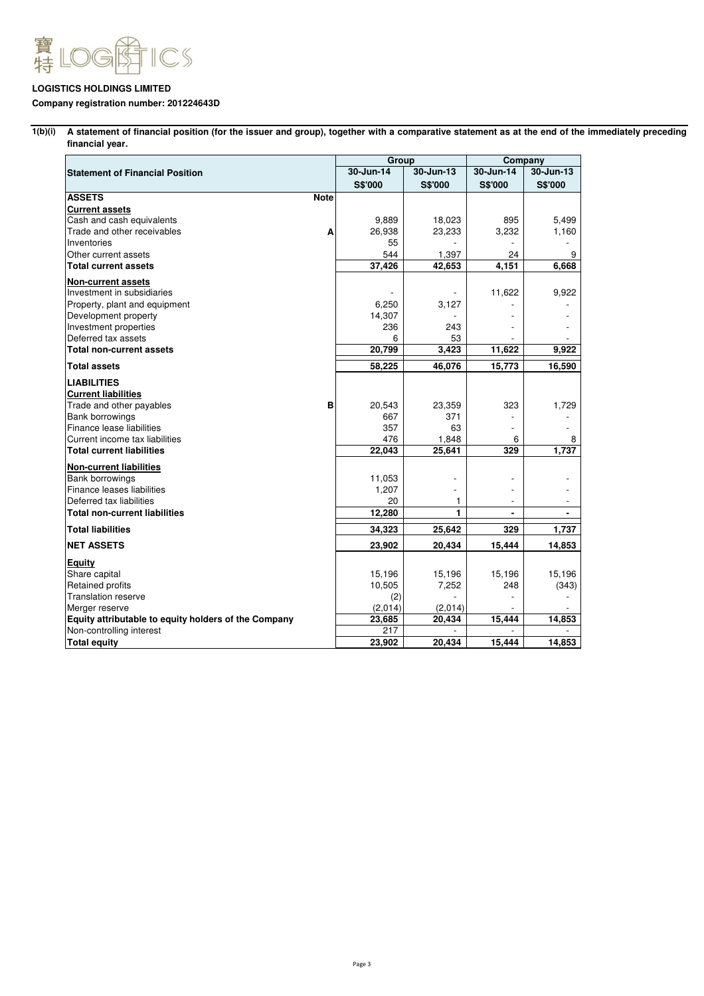

# **Company registration number: 201224643D**

**1(b)(i) A statement of financial position (for the issuer and group), together with a comparative statement as at the end of the immediately preceding financial year.**

|                                                      |             | Group          |           | Company        |                |
|------------------------------------------------------|-------------|----------------|-----------|----------------|----------------|
| <b>Statement of Financial Position</b>               |             | 30-Jun-14      | 30-Jun-13 | 30-Jun-14      | 30-Jun-13      |
|                                                      |             | <b>S\$'000</b> | S\$'000   | <b>S\$'000</b> | <b>S\$'000</b> |
| <b>ASSETS</b>                                        | <b>Note</b> |                |           |                |                |
| <b>Current assets</b>                                |             |                |           |                |                |
| Cash and cash equivalents                            |             | 9,889          | 18,023    | 895            | 5,499          |
| Trade and other receivables                          | Α           | 26,938         | 23,233    | 3,232          | 1,160          |
| Inventories                                          |             | 55             |           |                |                |
| Other current assets                                 |             | 544            | 1,397     | 24             | 9              |
| <b>Total current assets</b>                          |             | 37,426         | 42,653    | 4,151          | 6,668          |
| <b>Non-current assets</b>                            |             |                |           |                |                |
| Investment in subsidiaries                           |             |                |           | 11,622         | 9,922          |
| Property, plant and equipment                        |             | 6,250          | 3,127     |                |                |
| Development property                                 |             | 14,307         |           |                |                |
| Investment properties                                |             | 236            | 243       |                |                |
| Deferred tax assets                                  |             | 6              | 53        |                |                |
| <b>Total non-current assets</b>                      |             | 20,799         | 3,423     | 11,622         | 9.922          |
| <b>Total assets</b>                                  |             | 58,225         | 46,076    | 15,773         | 16,590         |
| <b>LIABILITIES</b>                                   |             |                |           |                |                |
| <b>Current liabilities</b>                           |             |                |           |                |                |
| Trade and other payables                             | в           | 20,543         | 23,359    | 323            | 1,729          |
| Bank borrowings                                      |             | 667            | 371       |                |                |
| Finance lease liabilities                            |             | 357            | 63        | $\overline{a}$ |                |
| Current income tax liabilities                       |             | 476            | 1,848     | 6              | 8              |
| <b>Total current liabilities</b>                     |             | 22,043         | 25,641    | 329            | 1.737          |
| <b>Non-current liabilities</b>                       |             |                |           |                |                |
| <b>Bank borrowings</b>                               |             | 11,053         |           |                |                |
| Finance leases liabilities                           |             | 1,207          |           |                |                |
| Deferred tax liabilities                             |             | 20             | 1         |                |                |
| <b>Total non-current liabilities</b>                 |             | 12,280         | 1         |                |                |
| <b>Total liabilities</b>                             |             | 34,323         | 25,642    | 329            | 1,737          |
| <b>NET ASSETS</b>                                    |             | 23,902         | 20,434    | 15,444         | 14,853         |
| <b>Equity</b>                                        |             |                |           |                |                |
| Share capital                                        |             | 15,196         | 15,196    | 15,196         | 15,196         |
| Retained profits                                     |             | 10,505         | 7,252     | 248            | (343)          |
| <b>Translation reserve</b>                           |             | (2)            |           |                |                |
| Merger reserve                                       |             | (2,014)        | (2,014)   |                |                |
| Equity attributable to equity holders of the Company |             | 23,685         | 20,434    | 15,444         | 14,853         |
| Non-controlling interest                             |             | 217            |           |                |                |
| <b>Total equity</b>                                  |             | 23,902         | 20,434    | 15,444         | 14,853         |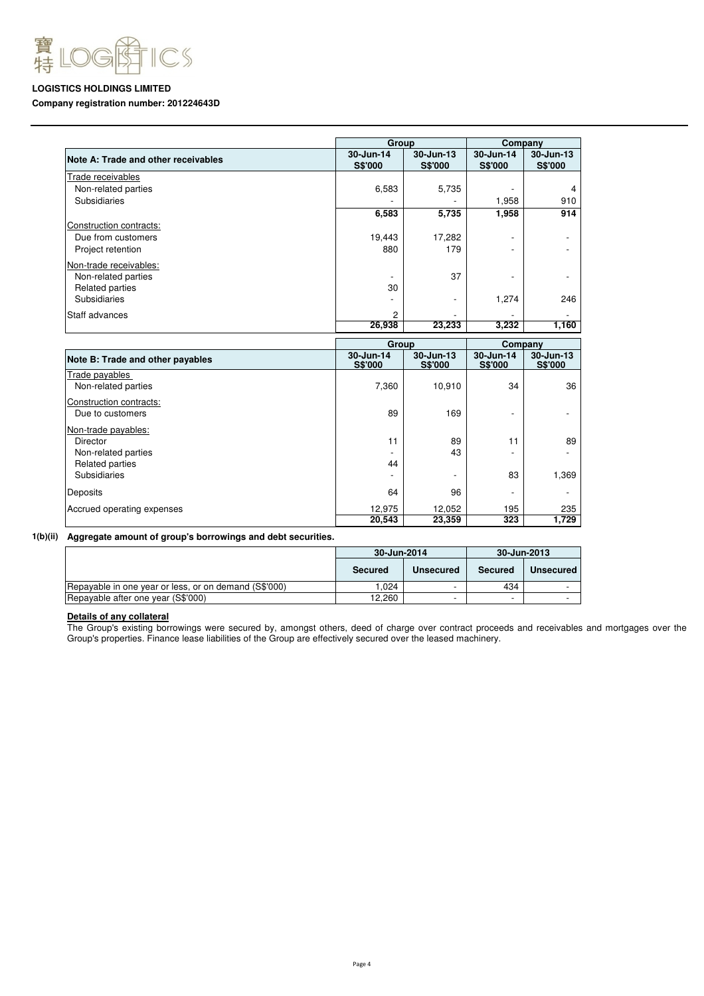

# **Company registration number: 201224643D**

|                                     | Group                       |                             | Company                     |                             |  |
|-------------------------------------|-----------------------------|-----------------------------|-----------------------------|-----------------------------|--|
| Note A: Trade and other receivables | 30-Jun-14<br><b>S\$'000</b> | 30-Jun-13<br>S\$'000        | 30-Jun-14<br><b>S\$'000</b> | 30-Jun-13<br><b>S\$'000</b> |  |
| Trade receivables                   |                             |                             |                             |                             |  |
| Non-related parties                 | 6,583                       | 5,735                       |                             | 4                           |  |
| Subsidiaries                        |                             |                             | 1,958                       | 910                         |  |
|                                     | 6,583                       | 5,735                       | 1,958                       | 914                         |  |
| Construction contracts:             |                             |                             |                             |                             |  |
| Due from customers                  | 19,443                      | 17,282                      | $\overline{\phantom{a}}$    |                             |  |
| Project retention                   | 880                         | 179                         |                             |                             |  |
| Non-trade receivables:              |                             |                             |                             |                             |  |
| Non-related parties                 |                             | 37                          |                             |                             |  |
| Related parties                     | 30                          |                             |                             |                             |  |
| Subsidiaries                        |                             |                             | 1,274                       | 246                         |  |
| Staff advances                      | 2                           |                             |                             |                             |  |
|                                     | 26,938                      | 23,233                      | 3,232                       | 1,160                       |  |
|                                     | Group                       |                             | Company                     |                             |  |
| Note B: Trade and other payables    | 30-Jun-14<br><b>S\$'000</b> | 30-Jun-13<br><b>S\$'000</b> | 30-Jun-14<br><b>S\$'000</b> | 30-Jun-13<br><b>S\$'000</b> |  |
| Trade payables                      |                             |                             |                             |                             |  |
| Non-related parties                 | 7,360                       | 10,910                      | 34                          | 36                          |  |
| Construction contracts:             |                             |                             |                             |                             |  |
| Due to customers                    | 89                          | 169                         | $\overline{a}$              |                             |  |
| Non-trade payables:                 |                             |                             |                             |                             |  |
| <b>Director</b>                     | 11                          | 89                          | 11                          | 89                          |  |
| Non-related parties                 |                             | 43                          |                             |                             |  |

#### **1(b)(ii) Aggregate amount of group's borrowings and debt securities.**

|                                                       | 30-Jun-2014 |                  |         | 30-Jun-2013 |
|-------------------------------------------------------|-------------|------------------|---------|-------------|
|                                                       | Secured     | <b>Unsecured</b> | Secured | Unsecured   |
| Repayable in one year or less, or on demand (S\$'000) | .024        | -                | 434     |             |
| Repayable after one year (S\$'000)                    | 12.260      | -                |         |             |

Subsidiaries - - 83 1,369

# **Details of any collateral**

Accrued operating expenses

Related parties<br>Subsidiaries

Deposits

The Group's existing borrowings were secured by, amongst others, deed of charge over contract proceeds and receivables and mortgages over the Group's properties. Finance lease liabilities of the Group are effectively secured over the leased machinery.

44

64 96 - - 12,975 12,052 195 235  **20,543 23,359 323 1,729**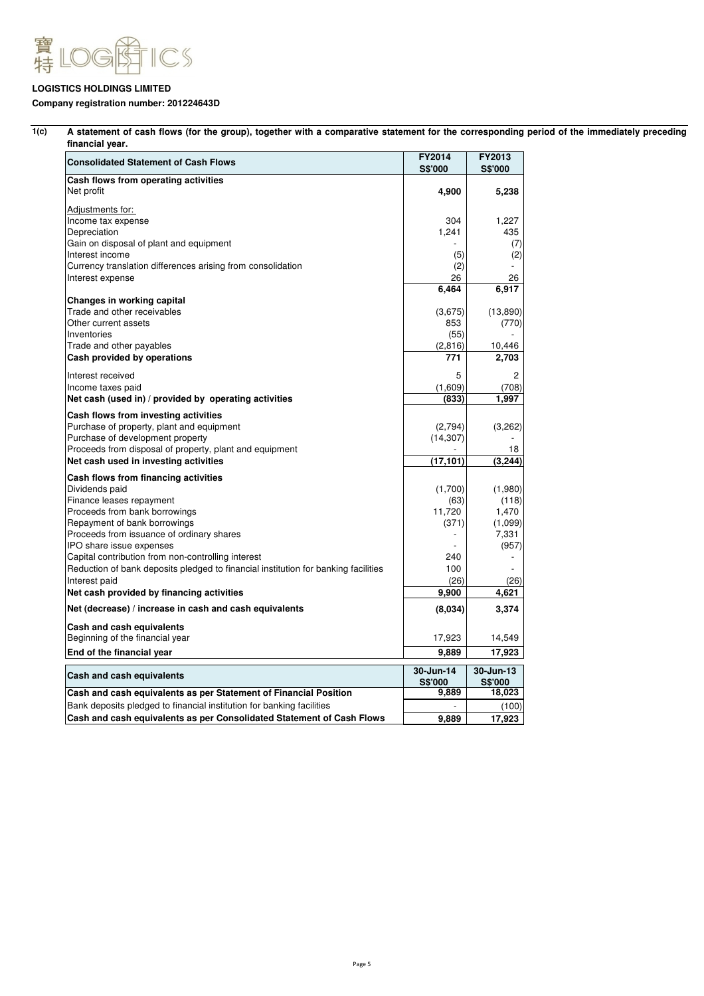

# **Company registration number: 201224643D**

| <b>Consolidated Statement of Cash Flows</b>                                        | FY2014<br>S\$'000 | FY2013<br>S\$'000 |  |
|------------------------------------------------------------------------------------|-------------------|-------------------|--|
| Cash flows from operating activities                                               |                   |                   |  |
| Net profit                                                                         | 4,900             | 5,238             |  |
| Adjustments for:                                                                   |                   |                   |  |
| Income tax expense                                                                 | 304               | 1,227             |  |
| Depreciation                                                                       | 1,241             | 435               |  |
| Gain on disposal of plant and equipment                                            |                   | (7)               |  |
| Interest income                                                                    | (5)               | (2)               |  |
| Currency translation differences arising from consolidation                        | (2)               |                   |  |
| Interest expense                                                                   | 26                | 26                |  |
|                                                                                    | 6,464             | 6,917             |  |
| Changes in working capital                                                         |                   |                   |  |
| Trade and other receivables                                                        | (3,675)           | (13,890)          |  |
| Other current assets                                                               | 853               | (770)             |  |
| Inventories                                                                        | (55)              |                   |  |
| Trade and other payables                                                           | (2,816)           | 10,446            |  |
| Cash provided by operations                                                        | 771               | 2,703             |  |
|                                                                                    |                   |                   |  |
| Interest received                                                                  | 5                 | 2                 |  |
| Income taxes paid                                                                  | (1,609)           | (708)             |  |
| Net cash (used in) / provided by operating activities                              | (833)             | 1,997             |  |
| Cash flows from investing activities                                               |                   |                   |  |
| Purchase of property, plant and equipment                                          | (2,794)           | (3,262)           |  |
| Purchase of development property                                                   | (14, 307)         |                   |  |
| Proceeds from disposal of property, plant and equipment                            |                   | 18                |  |
| Net cash used in investing activities                                              | (17, 101)         | (3, 244)          |  |
|                                                                                    |                   |                   |  |
| Cash flows from financing activities                                               | (1,700)           | (1,980)           |  |
| Dividends paid                                                                     | (63)              |                   |  |
| Finance leases repayment                                                           | 11,720            | (118)             |  |
| Proceeds from bank borrowings                                                      |                   | 1,470             |  |
| Repayment of bank borrowings                                                       | (371)             | (1,099)           |  |
| Proceeds from issuance of ordinary shares                                          |                   | 7,331             |  |
| IPO share issue expenses                                                           |                   | (957)             |  |
| Capital contribution from non-controlling interest                                 | 240               |                   |  |
| Reduction of bank deposits pledged to financial institution for banking facilities | 100               |                   |  |
| Interest paid                                                                      | (26)              | (26)              |  |
| Net cash provided by financing activities                                          | 9,900             | 4,621             |  |
| Net (decrease) / increase in cash and cash equivalents                             | (8,034)           | 3,374             |  |
| Cash and cash equivalents                                                          |                   |                   |  |
| Beginning of the financial year                                                    | 17,923            | 14,549            |  |
| End of the financial year                                                          | 9,889             | 17,923            |  |
|                                                                                    |                   |                   |  |
| Cash and cash equivalents                                                          | 30-Jun-14         | 30-Jun-13         |  |
|                                                                                    | S\$'000           | S\$'000           |  |
| Cash and cash equivalents as per Statement of Financial Position                   | 9,889             | 18,023            |  |
| Bank deposits pledged to financial institution for banking facilities              |                   | (100)             |  |
| Cash and cash equivalents as per Consolidated Statement of Cash Flows              | 9,889             | 17,923            |  |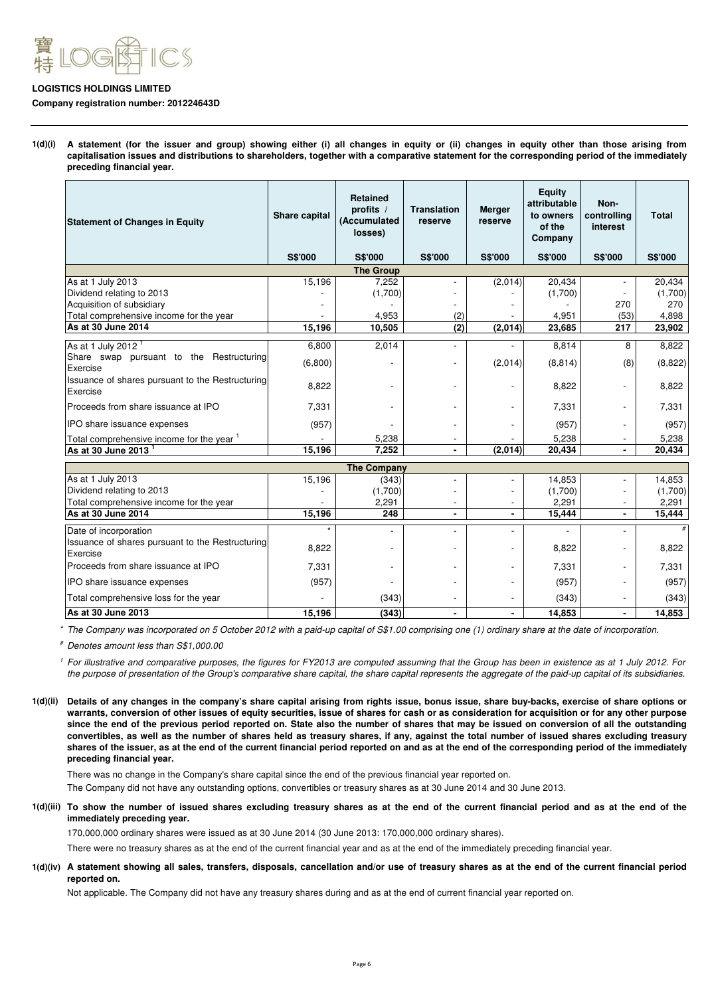

#### **Company registration number: 201224643D**

**1(d)(i) A statement (for the issuer and group) showing either (i) all changes in equity or (ii) changes in equity other than those arising from capitalisation issues and distributions to shareholders, together with a comparative statement for the corresponding period of the immediately preceding financial year.**

| <b>Statement of Changes in Equity</b>                        | Share capital  | <b>Retained</b><br>profits $/$<br>(Accumulated<br>losses) | <b>Translation</b><br>reserve | <b>Merger</b><br>reserve | <b>Equity</b><br>attributable<br>to owners<br>of the<br>Company | Non-<br>controlling<br>interest | <b>Total</b>   |
|--------------------------------------------------------------|----------------|-----------------------------------------------------------|-------------------------------|--------------------------|-----------------------------------------------------------------|---------------------------------|----------------|
|                                                              | <b>S\$'000</b> | <b>S\$'000</b>                                            | <b>S\$'000</b>                | <b>S\$'000</b>           | <b>S\$'000</b>                                                  | <b>S\$'000</b>                  | <b>S\$'000</b> |
|                                                              |                | <b>The Group</b>                                          |                               |                          |                                                                 |                                 |                |
| As at 1 July 2013                                            | 15,196         | 7,252                                                     |                               | (2,014)                  | 20,434                                                          |                                 | 20,434         |
| Dividend relating to 2013                                    |                | (1,700)                                                   |                               |                          | (1,700)                                                         |                                 | (1,700)        |
| Acquisition of subsidiary                                    |                |                                                           |                               |                          |                                                                 | 270                             | 270            |
| Total comprehensive income for the year                      |                | 4,953                                                     | (2)                           |                          | 4,951                                                           | (53)                            | 4,898          |
| As at 30 June 2014                                           | 15,196         | 10,505                                                    | (2)                           | (2,014)                  | 23,685                                                          | 217                             | 23,902         |
| As at 1 July 2012 <sup>1</sup>                               | 6,800          | 2,014                                                     |                               |                          | 8,814                                                           | 8                               | 8,822          |
| Share swap pursuant to the Restructuring<br>Exercise         | (6,800)        | ٠                                                         |                               | (2,014)                  | (8, 814)                                                        | (8)                             | (8,822)        |
| Issuance of shares pursuant to the Restructuring<br>Exercise | 8,822          | $\overline{\phantom{a}}$                                  |                               |                          | 8,822                                                           |                                 | 8,822          |
| Proceeds from share issuance at IPO                          | 7,331          |                                                           |                               |                          | 7,331                                                           |                                 | 7,331          |
| IPO share issuance expenses                                  | (957)          |                                                           |                               |                          | (957)                                                           |                                 | (957)          |
| Total comprehensive income for the year 1                    |                | 5,238                                                     |                               |                          | 5,238                                                           |                                 | 5,238          |
| As at 30 June 2013                                           | 15,196         | 7,252                                                     |                               | (2,014)                  | 20,434                                                          | ٠.                              | 20,434         |

|                                                                                  |        | <b>The Company</b> |  |         |         |
|----------------------------------------------------------------------------------|--------|--------------------|--|---------|---------|
| As at 1 July 2013                                                                | 15,196 | (343)              |  | 14,853  | 14,853  |
| Dividend relating to 2013                                                        |        | (1,700)            |  | (1,700) | (1,700) |
| Total comprehensive income for the year                                          |        | 2,291              |  | 2.291   | 2,291   |
| As at 30 June 2014                                                               | 15,196 | 248                |  | 15,444  | 15,444  |
| Date of incorporation<br><b>Issuance of shares pursuant to the Restructuring</b> |        |                    |  |         |         |
| Exercise                                                                         | 8,822  |                    |  | 8,822   | 8,822   |
| Proceeds from share issuance at IPO                                              | 7,331  |                    |  | 7.331   | 7.331   |
| <b>IPO</b> share issuance expenses                                               | (957)  |                    |  | (957)   | (957)   |
| Total comprehensive loss for the year                                            |        | (343)              |  | (343)   | (343)   |
| As at 30 June 2013                                                               | 15,196 | (343)              |  | 14,853  | 14,853  |

\* The Company was incorporated on 5 October 2012 with a paid-up capital of S\$1.00 comprising one (1) ordinary share at the date of incorporation.

# Denotes amount less than S\$1,000.00

1 For illustrative and comparative purposes, the figures for FY2013 are computed assuming that the Group has been in existence as at 1 July 2012. For the purpose of presentation of the Group's comparative share capital, the share capital represents the aggregate of the paid-up capital of its subsidiaries.

**1(d)(ii) Details of any changes in the company's share capital arising from rights issue, bonus issue, share buy-backs, exercise of share options or warrants, conversion of other issues of equity securities, issue of shares for cash or as consideration for acquisition or for any other purpose since the end of the previous period reported on. State also the number of shares that may be issued on conversion of all the outstanding convertibles, as well as the number of shares held as treasury shares, if any, against the total number of issued shares excluding treasury shares of the issuer, as at the end of the current financial period reported on and as at the end of the corresponding period of the immediately preceding financial year.**

There was no change in the Company's share capital since the end of the previous financial year reported on.

The Company did not have any outstanding options, convertibles or treasury shares as at 30 June 2014 and 30 June 2013.

**1(d)(iii) To show the number of issued shares excluding treasury shares as at the end of the current financial period and as at the end of the immediately preceding year.**

170,000,000 ordinary shares were issued as at 30 June 2014 (30 June 2013: 170,000,000 ordinary shares).

There were no treasury shares as at the end of the current financial year and as at the end of the immediately preceding financial year.

**1(d)(iv) A statement showing all sales, transfers, disposals, cancellation and/or use of treasury shares as at the end of the current financial period reported on.**

Not applicable. The Company did not have any treasury shares during and as at the end of current financial year reported on.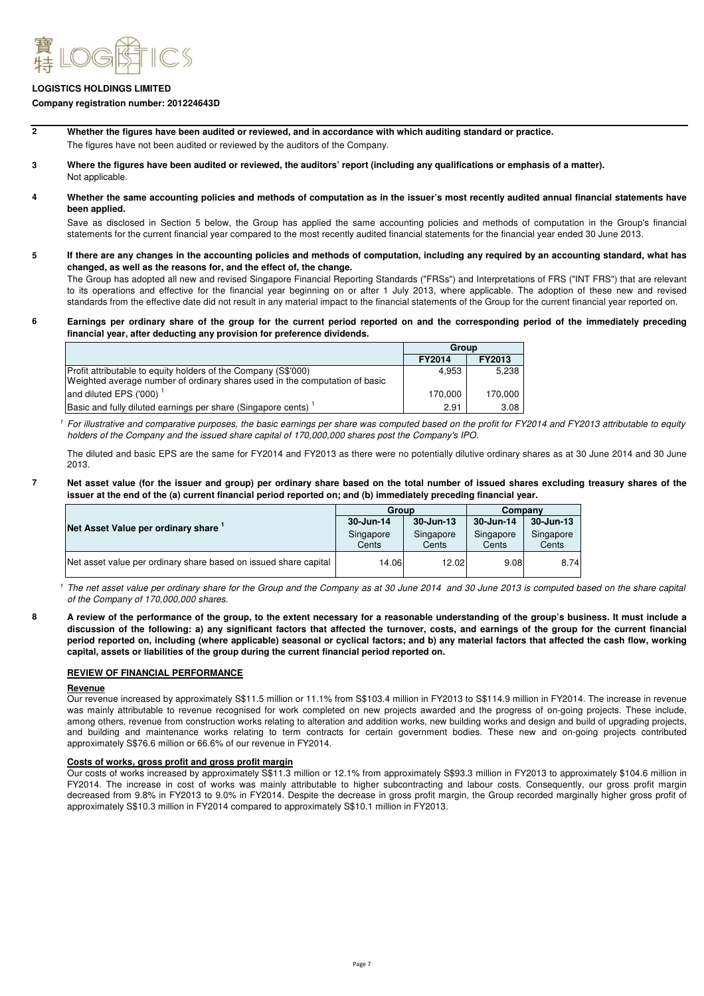

#### **Company registration number: 201224643D**

- **2 Whether the figures have been audited or reviewed, and in accordance with which auditing standard or practice.** The figures have not been audited or reviewed by the auditors of the Company.
- **3 Where the figures have been audited or reviewed, the auditors' report (including any qualifications or emphasis of a matter).** Not applicable.
- **4 Whether the same accounting policies and methods of computation as in the issuer's most recently audited annual financial statements have been applied.**

Save as disclosed in Section 5 below, the Group has applied the same accounting policies and methods of computation in the Group's financial statements for the current financial year compared to the most recently audited financial statements for the financial year ended 30 June 2013.

**5 If there are any changes in the accounting policies and methods of computation, including any required by an accounting standard, what has changed, as well as the reasons for, and the effect of, the change.**

The Group has adopted all new and revised Singapore Financial Reporting Standards ("FRSs") and Interpretations of FRS ("INT FRS") that are relevant to its operations and effective for the financial year beginning on or after 1 July 2013, where applicable. The adoption of these new and revised standards from the effective date did not result in any material impact to the financial statements of the Group for the current financial year reported on.

**6 Earnings per ordinary share of the group for the current period reported on and the corresponding period of the immediately preceding financial year, after deducting any provision for preference dividends.**

|                                                                                                                                               | Group         |         |
|-----------------------------------------------------------------------------------------------------------------------------------------------|---------------|---------|
|                                                                                                                                               | <b>FY2014</b> | FY2013  |
| Profit attributable to equity holders of the Company (S\$'000)<br>Weighted average number of ordinary shares used in the computation of basic | 4.953         | 5.238   |
| and diluted EPS ('000)                                                                                                                        | 170.000       | 170.000 |
| Basic and fully diluted earnings per share (Singapore cents)                                                                                  | 2.91          | 3.08    |

1 For illustrative and comparative purposes, the basic earnings per share was computed based on the profit for FY2014 and FY2013 attributable to equity holders of the Company and the issued share capital of 170,000,000 shares post the Company's IPO.

The diluted and basic EPS are the same for FY2014 and FY2013 as there were no potentially dilutive ordinary shares as at 30 June 2014 and 30 June 2013.

#### **7 Net asset value (for the issuer and group) per ordinary share based on the total number of issued shares excluding treasury shares of the issuer at the end of the (a) current financial period reported on; and (b) immediately preceding financial year.**

|                                                                  | Group              |                    | Companv            |                    |  |
|------------------------------------------------------------------|--------------------|--------------------|--------------------|--------------------|--|
|                                                                  | 30-Jun-14          | 30-Jun-13          | 30-Jun-14          | 30-Jun-13          |  |
| Net Asset Value per ordinary share 1                             | Singapore<br>Cents | Singapore<br>Cents | Singapore<br>Cents | Singapore<br>Cents |  |
| Net asset value per ordinary share based on issued share capital | 14.06              | 12.02              | 9.08               | 8.74               |  |

<sup>1</sup> The net asset value per ordinary share for the Group and the Company as at 30 June 2014 and 30 June 2013 is computed based on the share capital of the Company of 170,000,000 shares.

**A review of the performance of the group, to the extent necessary for a reasonable understanding of the group's business. It must include a discussion of the following: a) any significant factors that affected the turnover, costs, and earnings of the group for the current financial period reported on, including (where applicable) seasonal or cyclical factors; and b) any material factors that affected the cash flow, working capital, assets or liabilities of the group during the current financial period reported on.**

# **REVIEW OF FINANCIAL PERFORMANCE**

### **Revenue**

**8**

Our revenue increased by approximately S\$11.5 million or 11.1% from S\$103.4 million in FY2013 to S\$114.9 million in FY2014. The increase in revenue was mainly attributable to revenue recognised for work completed on new projects awarded and the progress of on-going projects. These include, among others, revenue from construction works relating to alteration and addition works, new building works and design and build of upgrading projects, and building and maintenance works relating to term contracts for certain government bodies. These new and on-going projects contributed approximately S\$76.6 million or 66.6% of our revenue in FY2014.

#### **Costs of works, gross profit and gross profit margin**

Our costs of works increased by approximately S\$11.3 million or 12.1% from approximately S\$93.3 million in FY2013 to approximately \$104.6 million in FY2014. The increase in cost of works was mainly attributable to higher subcontracting and labour costs. Consequently, our gross profit margin decreased from 9.8% in FY2013 to 9.0% in FY2014. Despite the decrease in gross profit margin, the Group recorded marginally higher gross profit of approximately S\$10.3 million in FY2014 compared to approximately S\$10.1 million in FY2013.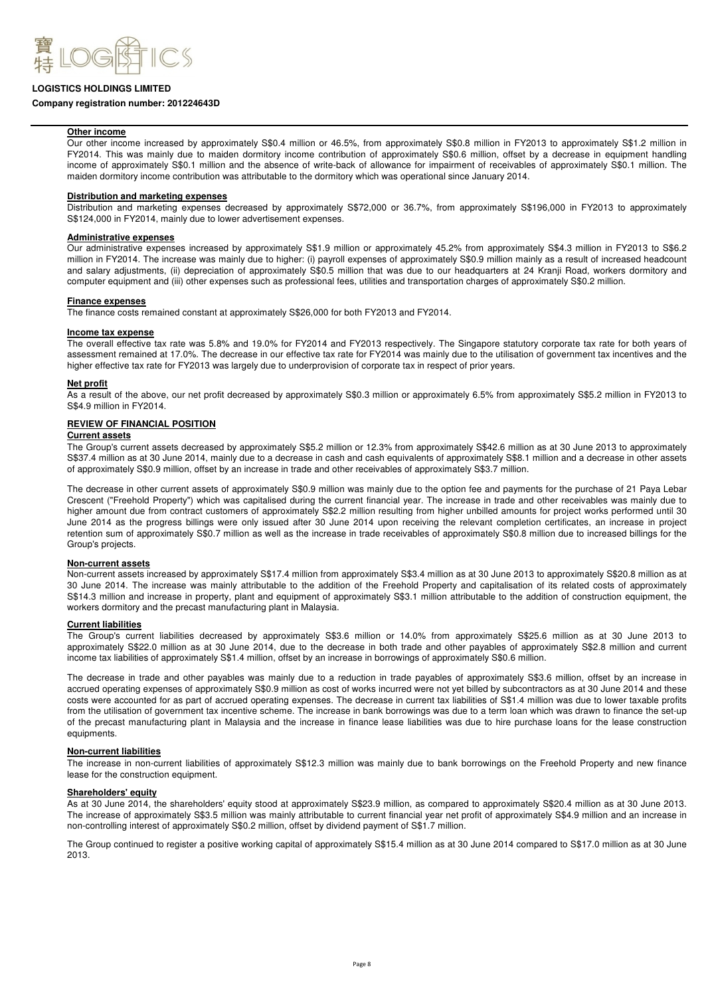

#### **Company registration number: 201224643D**

#### **Other income**

Our other income increased by approximately S\$0.4 million or 46.5%, from approximately S\$0.8 million in FY2013 to approximately S\$1.2 million in FY2014. This was mainly due to maiden dormitory income contribution of approximately S\$0.6 million, offset by a decrease in equipment handling income of approximately S\$0.1 million and the absence of write-back of allowance for impairment of receivables of approximately S\$0.1 million. The maiden dormitory income contribution was attributable to the dormitory which was operational since January 2014.

#### **Distribution and marketing expenses**

Distribution and marketing expenses decreased by approximately S\$72,000 or 36.7%, from approximately S\$196,000 in FY2013 to approximately S\$124,000 in FY2014, mainly due to lower advertisement expenses.

#### **Administrative expenses**

Our administrative expenses increased by approximately S\$1.9 million or approximately 45.2% from approximately S\$4.3 million in FY2013 to S\$6.2 million in FY2014. The increase was mainly due to higher: (i) payroll expenses of approximately S\$0.9 million mainly as a result of increased headcount and salary adjustments, (ii) depreciation of approximately S\$0.5 million that was due to our headquarters at 24 Kranji Road, workers dormitory and computer equipment and (iii) other expenses such as professional fees, utilities and transportation charges of approximately S\$0.2 million.

#### **Finance expenses**

The finance costs remained constant at approximately S\$26,000 for both FY2013 and FY2014.

#### **Income tax expense**

The overall effective tax rate was 5.8% and 19.0% for FY2014 and FY2013 respectively. The Singapore statutory corporate tax rate for both years of assessment remained at 17.0%. The decrease in our effective tax rate for FY2014 was mainly due to the utilisation of government tax incentives and the higher effective tax rate for FY2013 was largely due to underprovision of corporate tax in respect of prior years.

#### **Net profit**

As a result of the above, our net profit decreased by approximately S\$0.3 million or approximately 6.5% from approximately S\$5.2 million in FY2013 to S\$4.9 million in FY2014.

# **REVIEW OF FINANCIAL POSITION**

#### **Current assets**

The Group's current assets decreased by approximately S\$5.2 million or 12.3% from approximately S\$42.6 million as at 30 June 2013 to approximately S\$37.4 million as at 30 June 2014, mainly due to a decrease in cash and cash equivalents of approximately S\$8.1 million and a decrease in other assets of approximately S\$0.9 million, offset by an increase in trade and other receivables of approximately S\$3.7 million.

The decrease in other current assets of approximately S\$0.9 million was mainly due to the option fee and payments for the purchase of 21 Paya Lebar Crescent ("Freehold Property") which was capitalised during the current financial year. The increase in trade and other receivables was mainly due to higher amount due from contract customers of approximately S\$2.2 million resulting from higher unbilled amounts for project works performed until 30 June 2014 as the progress billings were only issued after 30 June 2014 upon receiving the relevant completion certificates, an increase in project retention sum of approximately S\$0.7 million as well as the increase in trade receivables of approximately S\$0.8 million due to increased billings for the Group's projects.

#### **Non-current assets**

Non-current assets increased by approximately S\$17.4 million from approximately S\$3.4 million as at 30 June 2013 to approximately S\$20.8 million as at 30 June 2014. The increase was mainly attributable to the addition of the Freehold Property and capitalisation of its related costs of approximately S\$14.3 million and increase in property, plant and equipment of approximately S\$3.1 million attributable to the addition of construction equipment, the workers dormitory and the precast manufacturing plant in Malaysia.

# **Current liabilities**

The Group's current liabilities decreased by approximately S\$3.6 million or 14.0% from approximately S\$25.6 million as at 30 June 2013 to approximately S\$22.0 million as at 30 June 2014, due to the decrease in both trade and other payables of approximately S\$2.8 million and current income tax liabilities of approximately S\$1.4 million, offset by an increase in borrowings of approximately S\$0.6 million.

The decrease in trade and other payables was mainly due to a reduction in trade payables of approximately S\$3.6 million, offset by an increase in accrued operating expenses of approximately S\$0.9 million as cost of works incurred were not yet billed by subcontractors as at 30 June 2014 and these costs were accounted for as part of accrued operating expenses. The decrease in current tax liabilities of S\$1.4 million was due to lower taxable profits from the utilisation of government tax incentive scheme. The increase in bank borrowings was due to a term loan which was drawn to finance the set-up of the precast manufacturing plant in Malaysia and the increase in finance lease liabilities was due to hire purchase loans for the lease construction equipments.

#### **Non-current liabilities**

The increase in non-current liabilities of approximately S\$12.3 million was mainly due to bank borrowings on the Freehold Property and new finance lease for the construction equipment.

#### **Shareholders' equity**

As at 30 June 2014, the shareholders' equity stood at approximately S\$23.9 million, as compared to approximately S\$20.4 million as at 30 June 2013. The increase of approximately S\$3.5 million was mainly attributable to current financial year net profit of approximately S\$4.9 million and an increase in non-controlling interest of approximately S\$0.2 million, offset by dividend payment of S\$1.7 million.

The Group continued to register a positive working capital of approximately S\$15.4 million as at 30 June 2014 compared to S\$17.0 million as at 30 June 2013.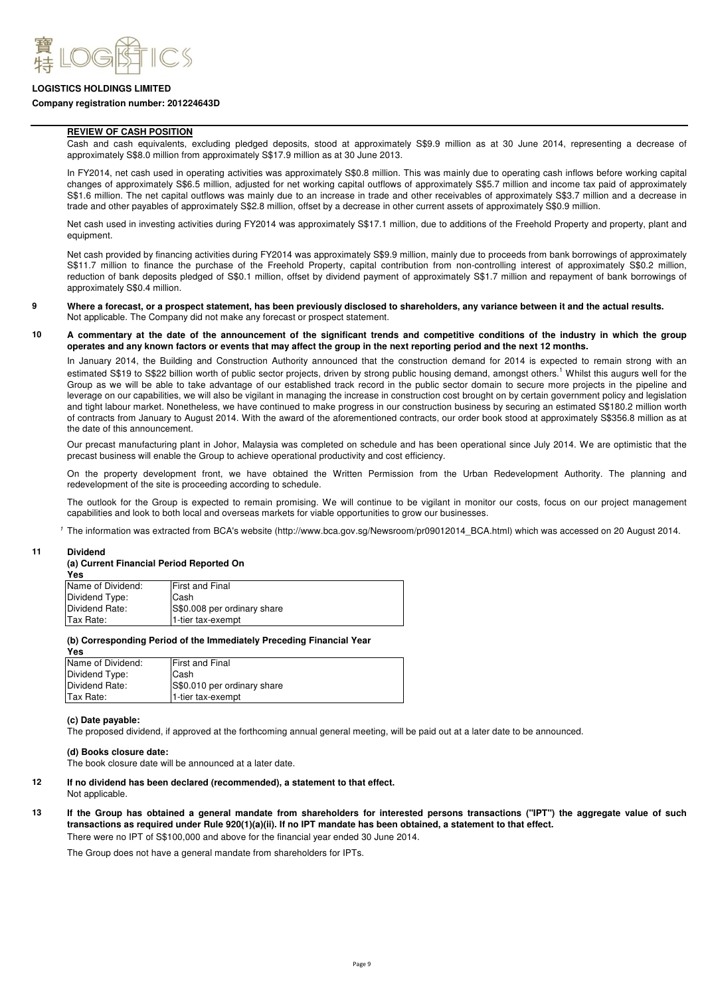

#### **Company registration number: 201224643D**

#### **REVIEW OF CASH POSITION**

Cash and cash equivalents, excluding pledged deposits, stood at approximately S\$9.9 million as at 30 June 2014, representing a decrease of approximately S\$8.0 million from approximately S\$17.9 million as at 30 June 2013.

In FY2014, net cash used in operating activities was approximately S\$0.8 million. This was mainly due to operating cash inflows before working capital changes of approximately S\$6.5 million, adjusted for net working capital outflows of approximately S\$5.7 million and income tax paid of approximately S\$1.6 million. The net capital outflows was mainly due to an increase in trade and other receivables of approximately S\$3.7 million and a decrease in trade and other payables of approximately S\$2.8 million, offset by a decrease in other current assets of approximately S\$0.9 million.

Net cash used in investing activities during FY2014 was approximately S\$17.1 million, due to additions of the Freehold Property and property, plant and equipment.

Net cash provided by financing activities during FY2014 was approximately S\$9.9 million, mainly due to proceeds from bank borrowings of approximately S\$11.7 million to finance the purchase of the Freehold Property, capital contribution from non-controlling interest of approximately S\$0.2 million, reduction of bank deposits pledged of S\$0.1 million, offset by dividend payment of approximately S\$1.7 million and repayment of bank borrowings of approximately S\$0.4 million.

#### **9** Not applicable. The Company did not make any forecast or prospect statement. **Where a forecast, or a prospect statement, has been previously disclosed to shareholders, any variance between it and the actual results.**

#### **10 A commentary at the date of the announcement of the significant trends and competitive conditions of the industry in which the group operates and any known factors or events that may affect the group in the next reporting period and the next 12 months.**

In January 2014, the Building and Construction Authority announced that the construction demand for 2014 is expected to remain strong with an estimated S\$19 to S\$22 billion worth of public sector projects, driven by strong public housing demand, amongst others.<sup>1</sup> Whilst this augurs well for the Group as we will be able to take advantage of our established track record in the public sector domain to secure more projects in the pipeline and leverage on our capabilities, we will also be vigilant in managing the increase in construction cost brought on by certain government policy and legislation and tight labour market. Nonetheless, we have continued to make progress in our construction business by securing an estimated S\$180.2 million worth of contracts from January to August 2014. With the award of the aforementioned contracts, our order book stood at approximately S\$356.8 million as at the date of this announcement.

Our precast manufacturing plant in Johor, Malaysia was completed on schedule and has been operational since July 2014. We are optimistic that the precast business will enable the Group to achieve operational productivity and cost efficiency.

On the property development front, we have obtained the Written Permission from the Urban Redevelopment Authority. The planning and redevelopment of the site is proceeding according to schedule.

The outlook for the Group is expected to remain promising. We will continue to be vigilant in monitor our costs, focus on our project management capabilities and look to both local and overseas markets for viable opportunities to grow our businesses.

1 The information was extracted from BCA's website (http://www.bca.gov.sg/Newsroom/pr09012014\_BCA.html) which was accessed on 20 August 2014.

#### **11 Dividend**

# **(a) Current Financial Period Reported On**

| Yes               |                             |
|-------------------|-----------------------------|
| Name of Dividend: | <b>First and Final</b>      |
| Dividend Type:    | lCash                       |
| Dividend Rate:    | S\$0.008 per ordinary share |
| Tax Rate:         | 1-tier tax-exempt           |

#### **(b) Corresponding Period of the Immediately Preceding Financial Year**

| Yes               |                             |
|-------------------|-----------------------------|
| Name of Dividend: | <b>First and Final</b>      |
| Dividend Type:    | Cash                        |
| Dividend Rate:    | S\$0.010 per ordinary share |
| Tax Rate:         | 1-tier tax-exempt           |
|                   |                             |

#### **(c) Date payable:**

The proposed dividend, if approved at the forthcoming annual general meeting, will be paid out at a later date to be announced.

#### **(d) Books closure date:**

The book closure date will be announced at a later date.

#### **12 If no dividend has been declared (recommended), a statement to that effect.** Not applicable.

**13 If the Group has obtained a general mandate from shareholders for interested persons transactions ("IPT") the aggregate value of such transactions as required under Rule 920(1)(a)(ii). If no IPT mandate has been obtained, a statement to that effect.**

There were no IPT of S\$100,000 and above for the financial year ended 30 June 2014.

The Group does not have a general mandate from shareholders for IPTs.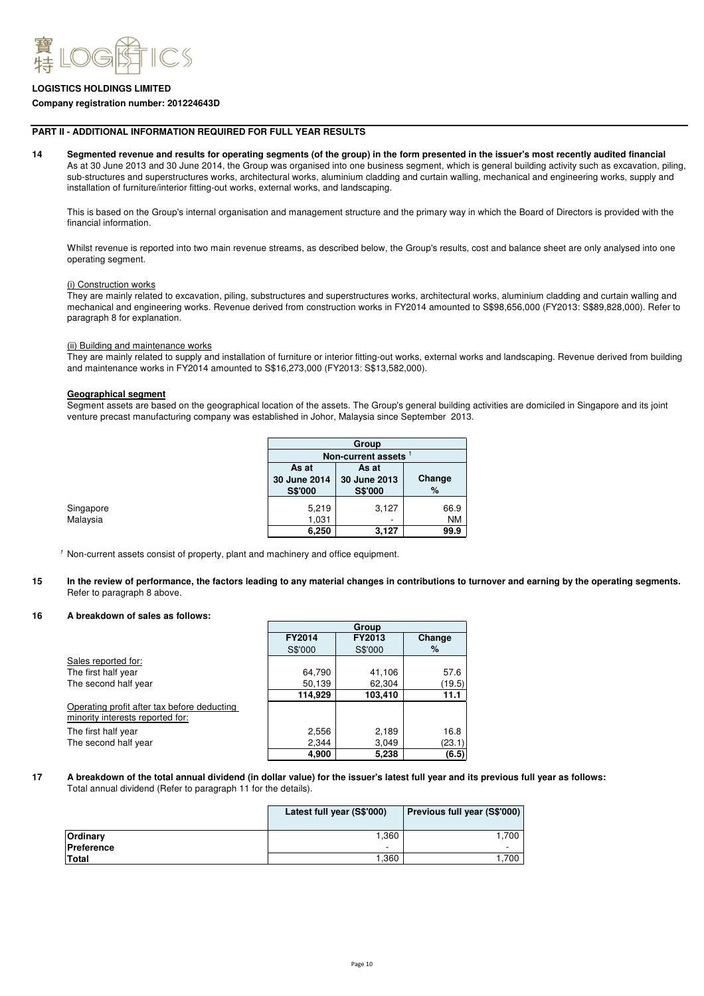

#### **Company registration number: 201224643D**

#### **PART II - ADDITIONAL INFORMATION REQUIRED FOR FULL YEAR RESULTS**

**14** As at 30 June 2013 and 30 June 2014, the Group was organised into one business segment, which is general building activity such as excavation, piling, sub-structures and superstructures works, architectural works, aluminium cladding and curtain walling, mechanical and engineering works, supply and installation of furniture/interior fitting-out works, external works, and landscaping. **Segmented revenue and results for operating segments (of the group) in the form presented in the issuer's most recently audited financial** 

This is based on the Group's internal organisation and management structure and the primary way in which the Board of Directors is provided with the financial information.

Whilst revenue is reported into two main revenue streams, as described below, the Group's results, cost and balance sheet are only analysed into one operating segment.

#### (i) Construction works

They are mainly related to excavation, piling, substructures and superstructures works, architectural works, aluminium cladding and curtain walling and mechanical and engineering works. Revenue derived from construction works in FY2014 amounted to S\$98,656,000 (FY2013: S\$89,828,000). Refer to paragraph 8 for explanation.

#### (ii) Building and maintenance works

They are mainly related to supply and installation of furniture or interior fitting-out works, external works and landscaping. Revenue derived from building and maintenance works in FY2014 amounted to S\$16,273,000 (FY2013: S\$13,582,000).

### **Geographical segment**

Segment assets are based on the geographical location of the assets. The Group's general building activities are domiciled in Singapore and its joint venture precast manufacturing company was established in Johor, Malaysia since September 2013.

|                                         | Group                                   |             |  |
|-----------------------------------------|-----------------------------------------|-------------|--|
|                                         | <b>Non-current assets</b>               |             |  |
| As at<br>30 June 2014<br><b>S\$'000</b> | As at<br>30 June 2013<br><b>S\$'000</b> | Change<br>% |  |
| 5,219                                   | 3,127                                   | 66.9        |  |
| 1,031                                   | -                                       | <b>NM</b>   |  |
| 6,250                                   | 3,127                                   | 99.9        |  |

1 Non-current assets consist of property, plant and machinery and office equipment.

**15 In the review of performance, the factors leading to any material changes in contributions to turnover and earning by the operating segments.** Refer to paragraph 8 above.

#### **16 A breakdown of sales as follows:**

|                                             | Group         |               |        |
|---------------------------------------------|---------------|---------------|--------|
|                                             | <b>FY2014</b> | <b>FY2013</b> | Change |
|                                             | S\$'000       | S\$'000       | $\%$   |
| Sales reported for:                         |               |               |        |
| The first half year                         | 64,790        | 41,106        | 57.6   |
| The second half year                        | 50,139        | 62,304        | (19.5) |
|                                             | 114,929       | 103,410       | 11.1   |
| Operating profit after tax before deducting |               |               |        |
| minority interests reported for:            |               |               |        |
| The first half year                         | 2,556         | 2,189         | 16.8   |
| The second half year                        | 2,344         | 3,049         | (23.1) |
|                                             | 4,900         | 5,238         | (6.5)  |

#### **17 A breakdown of the total annual dividend (in dollar value) for the issuer's latest full year and its previous full year as follows:** Total annual dividend (Refer to paragraph 11 for the details).

|                    | Latest full year (S\$'000) | Previous full year (S\$'000) |
|--------------------|----------------------------|------------------------------|
| Ordinary           | 1.360                      | .700                         |
| <b>IPreference</b> | -                          |                              |
| <b>Total</b>       | 1,360                      | .700                         |